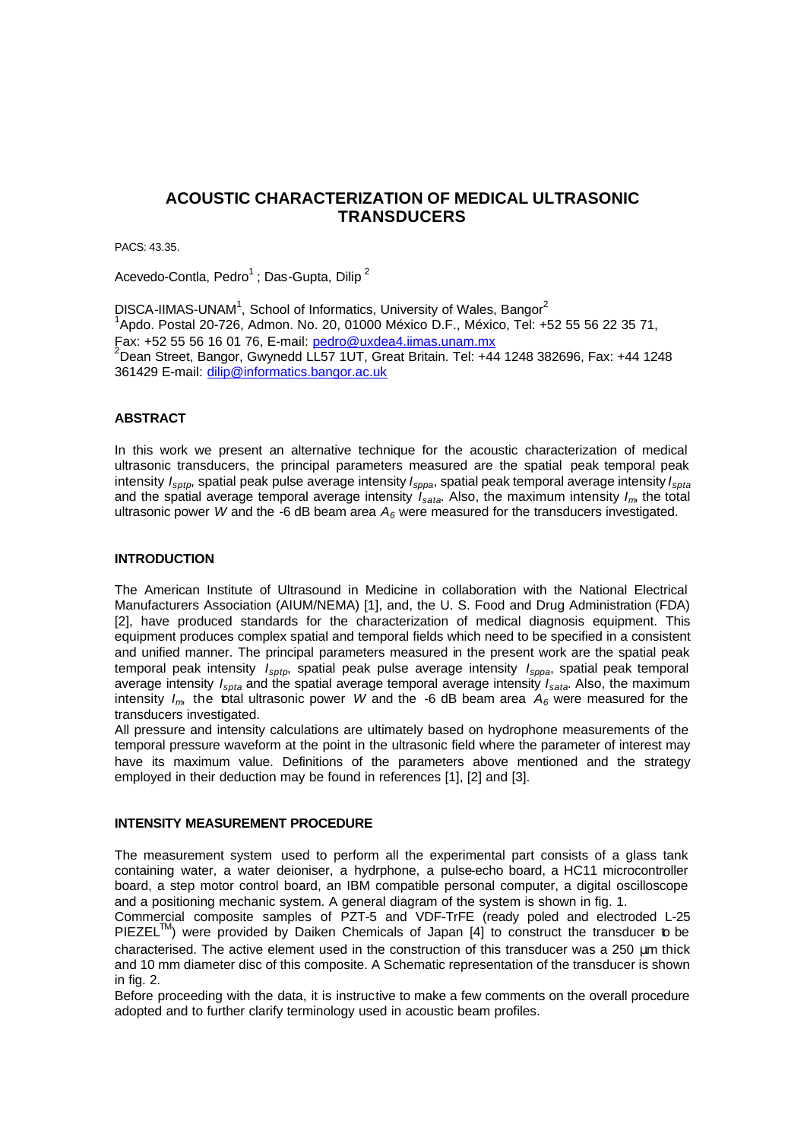# **ACOUSTIC CHARACTERIZATION OF MEDICAL ULTRASONIC TRANSDUCERS**

PACS: 43.35.

Acevedo-Contla, Pedro<sup>1</sup>; Das-Gupta, Dilip<sup>2</sup>

DISCA-IIMAS-UNAM<sup>1</sup>, School of Informatics, University of Wales, Bangor<sup>2</sup> 1 Apdo. Postal 20-726, Admon. No. 20, 01000 México D.F., México, Tel: +52 55 56 22 35 71, Fax: +52 55 56 16 01 76, E-mail: pedro@uxdea4.iimas.unam.mx <sup>2</sup>Dean Street, Bangor, Gwynedd LL57 1UT, Great Britain. Tel: +44 1248 382696, Fax: +44 1248 361429 E-mail: dilip@informatics.bangor.ac.uk

#### **ABSTRACT**

In this work we present an alternative technique for the acoustic characterization of medical ultrasonic transducers, the principal parameters measured are the spatial peak temporal peak intensity *Isptp*, spatial peak pulse average intensity *Isppa*, spatial peak temporal average intensity *Ispta* and the spatial average temporal average intensity *Isata*. Also, the maximum intensity *Im*, the total ultrasonic power *W* and the -6 dB beam area  $A_6$  were measured for the transducers investigated.

### **INTRODUCTION**

The American Institute of Ultrasound in Medicine in collaboration with the National Electrical Manufacturers Association (AIUM/NEMA) [1], and, the U. S. Food and Drug Administration (FDA) [2], have produced standards for the characterization of medical diagnosis equipment. This equipment produces complex spatial and temporal fields which need to be specified in a consistent and unified manner. The principal parameters measured in the present work are the spatial peak temporal peak intensity *Isptp*, spatial peak pulse average intensity *Isppa*, spatial peak temporal average intensity *Ispta* and the spatial average temporal average intensity *Isata*. Also, the maximum intensity  $I_m$  the total ultrasonic power *W* and the -6 dB beam area  $A_6$  were measured for the transducers investigated.

All pressure and intensity calculations are ultimately based on hydrophone measurements of the temporal pressure waveform at the point in the ultrasonic field where the parameter of interest may have its maximum value. Definitions of the parameters above mentioned and the strategy employed in their deduction may be found in references [1], [2] and [3].

#### **INTENSITY MEASUREMENT PROCEDURE**

The measurement system used to perform all the experimental part consists of a glass tank containing water, a water deioniser, a hydrphone, a pulse-echo board, a HC11 microcontroller board, a step motor control board, an IBM compatible personal computer, a digital oscilloscope and a positioning mechanic system. A general diagram of the system is shown in fig. 1.

Commercial composite samples of PZT-5 and VDF-TrFE (ready poled and electroded L-25  $PIEZEL^{TM}$ ) were provided by Daiken Chemicals of Japan [4] to construct the transducer to be characterised. The active element used in the construction of this transducer was a 250 μm thick and 10 mm diameter disc of this composite. A Schematic representation of the transducer is shown in fig. 2.

Before proceeding with the data, it is instructive to make a few comments on the overall procedure adopted and to further clarify terminology used in acoustic beam profiles.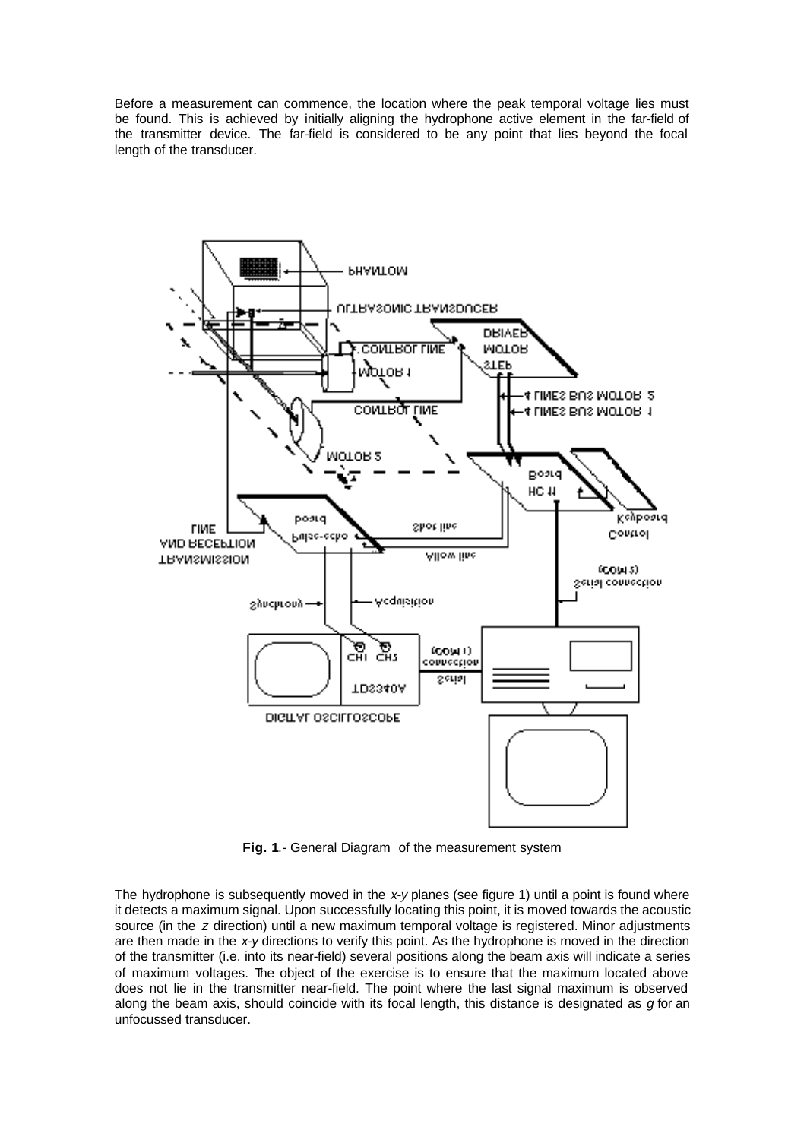Before a measurement can commence, the location where the peak temporal voltage lies must be found. This is achieved by initially aligning the hydrophone active element in the far-field of the transmitter device. The far-field is considered to be any point that lies beyond the focal length of the transducer.



**Fig. 1**.- General Diagram of the measurement system

The hydrophone is subsequently moved in the *x-y* planes (see figure 1) until a point is found where it detects a maximum signal. Upon successfully locating this point, it is moved towards the acoustic source (in the *z* direction) until a new maximum temporal voltage is registered. Minor adjustments are then made in the *x-y* directions to verify this point. As the hydrophone is moved in the direction of the transmitter (i.e. into its near-field) several positions along the beam axis will indicate a series of maximum voltages. The object of the exercise is to ensure that the maximum located above does not lie in the transmitter near-field. The point where the last signal maximum is observed along the beam axis, should coincide with its focal length, this distance is designated as *g* for an unfocussed transducer.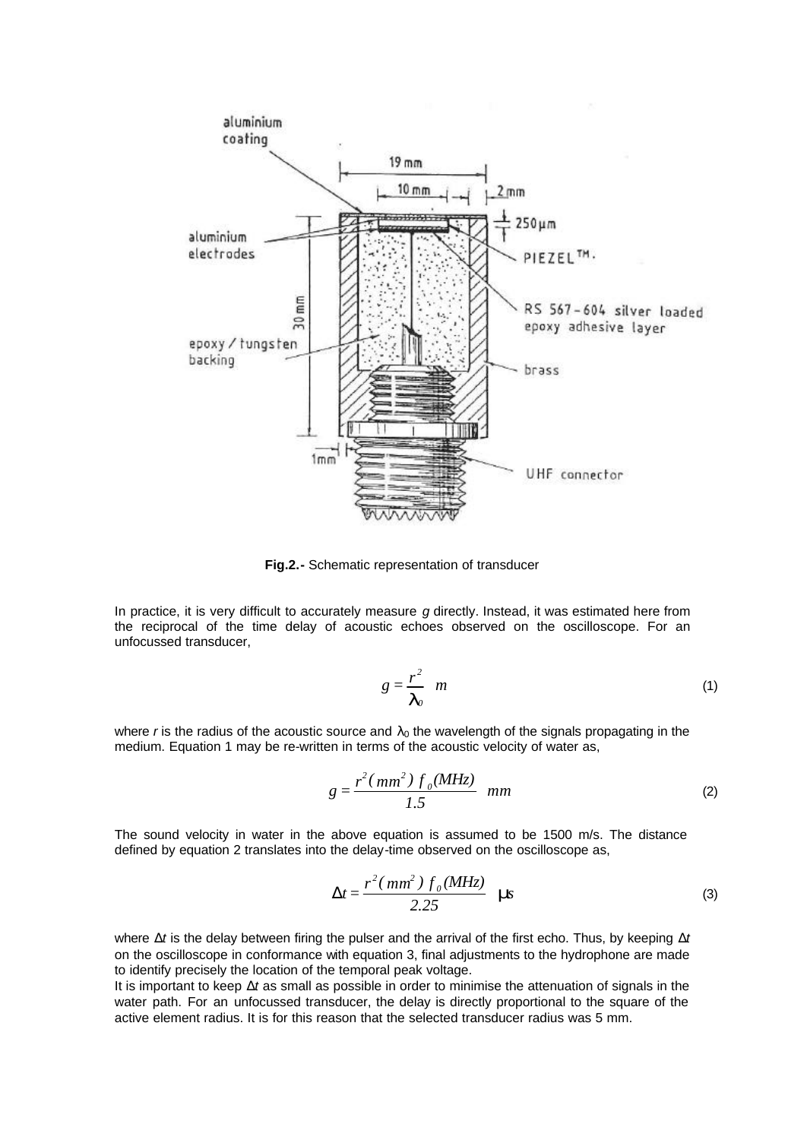

**Fig.2.-** Schematic representation of transducer

In practice, it is very difficult to accurately measure *g* directly. Instead, it was estimated here from the reciprocal of the time delay of acoustic echoes observed on the oscilloscope. For an unfocussed transducer,

$$
g=\frac{r^2}{\bm{I}_o} \quad m \tag{1}
$$

where *r* is the radius of the acoustic source and  $\lambda_0$  the wavelength of the signals propagating in the medium. Equation 1 may be re-written in terms of the acoustic velocity of water as,

$$
g = \frac{r^2(\,mm^2\,)\,f_0(MHz)}{1.5}\,mm\tag{2}
$$

The sound velocity in water in the above equation is assumed to be 1500 m/s. The distance defined by equation 2 translates into the delay-time observed on the oscilloscope as,

$$
\Delta t = \frac{r^2 \left( m m^2 \right) f_0 (M Hz)}{2.25} \quad \text{m}
$$
 (3)

where Δ*t* is the delay between firing the pulser and the arrival of the first echo. Thus, by keeping Δ*t* on the oscilloscope in conformance with equation 3, final adjustments to the hydrophone are made to identify precisely the location of the temporal peak voltage.

It is important to keep Δ*t* as small as possible in order to minimise the attenuation of signals in the water path. For an unfocussed transducer, the delay is directly proportional to the square of the active element radius. It is for this reason that the selected transducer radius was 5 mm.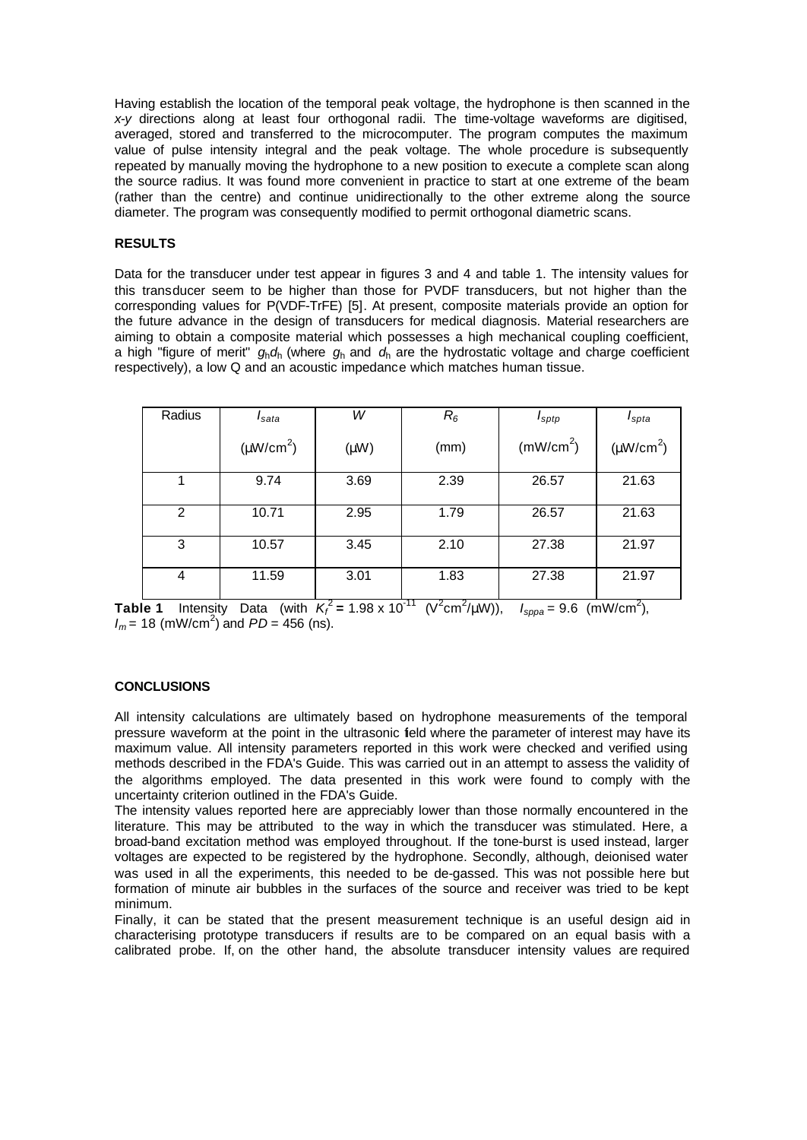Having establish the location of the temporal peak voltage, the hydrophone is then scanned in the *x-y* directions along at least four orthogonal radii. The time-voltage waveforms are digitised, averaged, stored and transferred to the microcomputer. The program computes the maximum value of pulse intensity integral and the peak voltage. The whole procedure is subsequently repeated by manually moving the hydrophone to a new position to execute a complete scan along the source radius. It was found more convenient in practice to start at one extreme of the beam (rather than the centre) and continue unidirectionally to the other extreme along the source diameter. The program was consequently modified to permit orthogonal diametric scans.

# **RESULTS**

Data for the transducer under test appear in figures 3 and 4 and table 1. The intensity values for this transducer seem to be higher than those for PVDF transducers, but not higher than the corresponding values for P(VDF-TrFE) [5]. At present, composite materials provide an option for the future advance in the design of transducers for medical diagnosis. Material researchers are aiming to obtain a composite material which possesses a high mechanical coupling coefficient, a high "figure of merit" *g*h*d*h (where *g*h and *d*h are the hydrostatic voltage and charge coefficient respectively), a low Q and an acoustic impedance which matches human tissue.

| Radius | I <sub>sata</sub> | W         | $R_6$ | $I_{\text{sptp}}$     | $I_{spta}$     |
|--------|-------------------|-----------|-------|-----------------------|----------------|
|        | $(\mu W/cm^2)$    | $(\mu W)$ | (mm)  | (mW/cm <sup>2</sup> ) | $(\mu W/cm^2)$ |
|        | 9.74              | 3.69      | 2.39  | 26.57                 | 21.63          |
| 2      | 10.71             | 2.95      | 1.79  | 26.57                 | 21.63          |
| 3      | 10.57             | 3.45      | 2.10  | 27.38                 | 21.97          |
| 4      | 11.59             | 3.01      | 1.83  | 27.38                 | 21.97          |

**Table 1** Intensity Data (with  $K_f^2 = 1.98 \times 10^{-11}$  (V<sup>2</sup>cm<sup>2</sup>/µW)),  $I_{sppa} = 9.6$  (mW/cm<sup>2</sup>),  $I_m$  = 18 (mW/cm<sup>2</sup>) and  $PD = 456$  (ns).

### **CONCLUSIONS**

All intensity calculations are ultimately based on hydrophone measurements of the temporal pressure waveform at the point in the ultrasonic field where the parameter of interest may have its maximum value. All intensity parameters reported in this work were checked and verified using methods described in the FDA's Guide. This was carried out in an attempt to assess the validity of the algorithms employed. The data presented in this work were found to comply with the uncertainty criterion outlined in the FDA's Guide.

The intensity values reported here are appreciably lower than those normally encountered in the literature. This may be attributed to the way in which the transducer was stimulated. Here, a broad-band excitation method was employed throughout. If the tone-burst is used instead, larger voltages are expected to be registered by the hydrophone. Secondly, although, deionised water was used in all the experiments, this needed to be de-gassed. This was not possible here but formation of minute air bubbles in the surfaces of the source and receiver was tried to be kept minimum.

Finally, it can be stated that the present measurement technique is an useful design aid in characterising prototype transducers if results are to be compared on an equal basis with a calibrated probe. If, on the other hand, the absolute transducer intensity values are required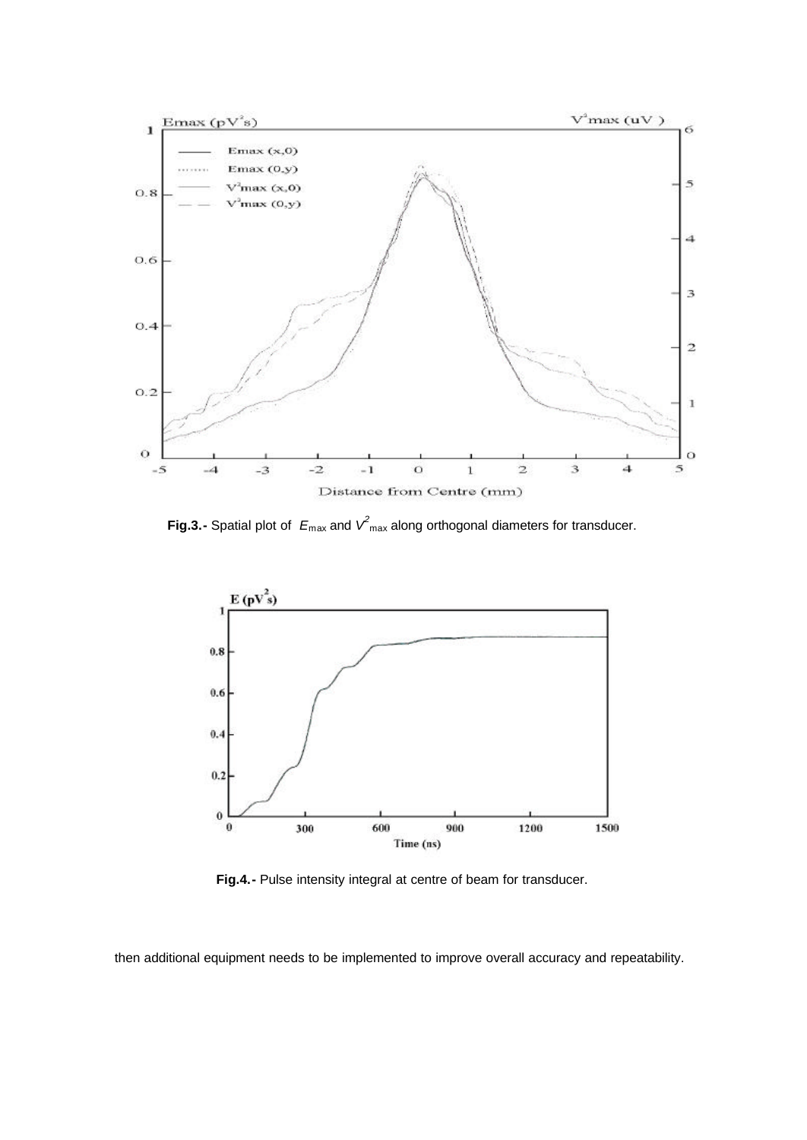

**Fig.3.-** Spatial plot of  $E_{\text{max}}$  and  $V^2_{\text{max}}$  along orthogonal diameters for transducer.



**Fig.4.-** Pulse intensity integral at centre of beam for transducer.

then additional equipment needs to be implemented to improve overall accuracy and repeatability.